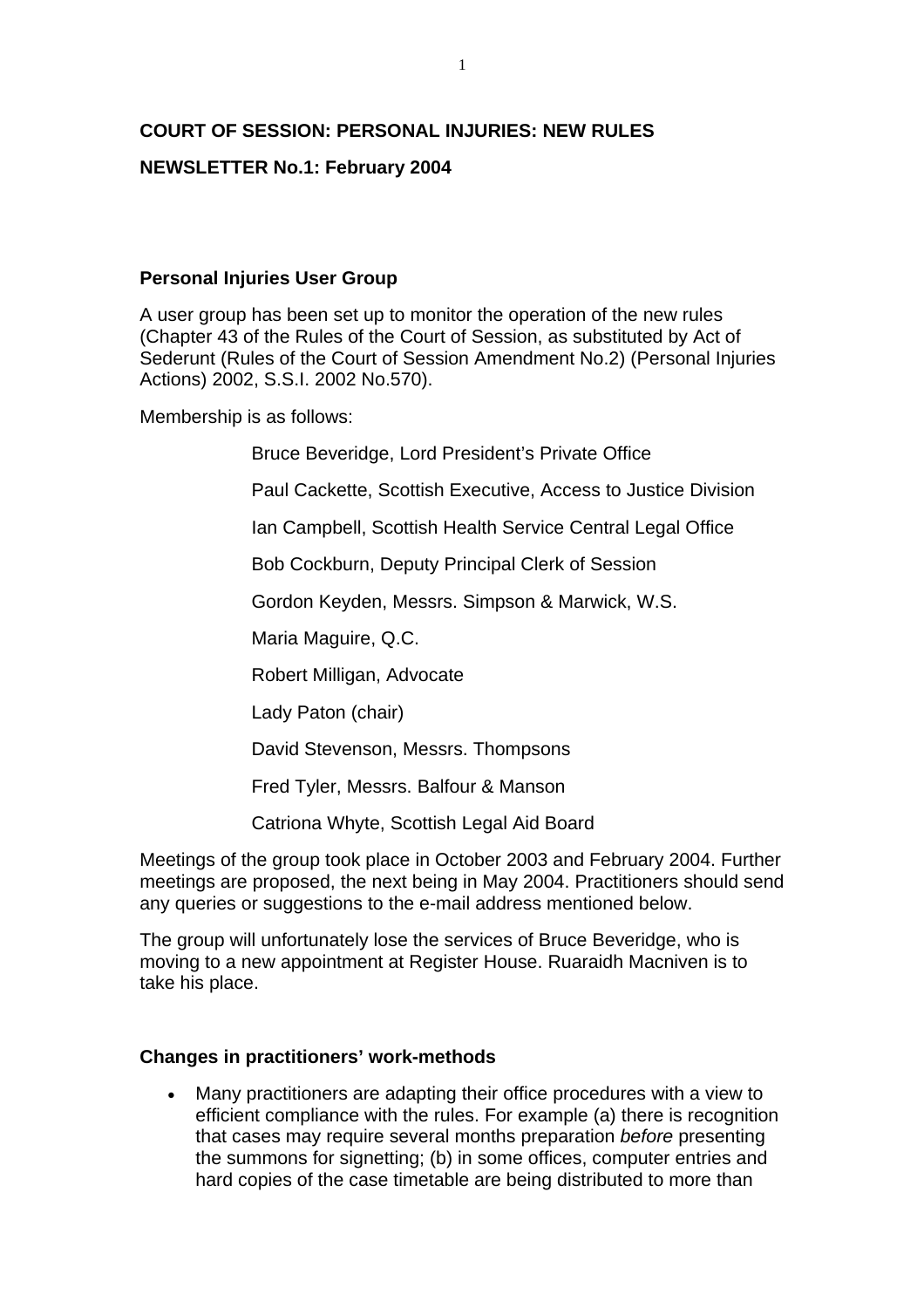# **COURT OF SESSION: PERSONAL INJURIES: NEW RULES**

## **NEWSLETTER No.1: February 2004**

## **Personal Injuries User Group**

A user group has been set up to monitor the operation of the new rules (Chapter 43 of the Rules of the Court of Session, as substituted by Act of Sederunt (Rules of the Court of Session Amendment No.2) (Personal Injuries Actions) 2002, S.S.I. 2002 No.570).

Membership is as follows:

Bruce Beveridge, Lord President's Private Office

Paul Cackette, Scottish Executive, Access to Justice Division

Ian Campbell, Scottish Health Service Central Legal Office

Bob Cockburn, Deputy Principal Clerk of Session

Gordon Keyden, Messrs. Simpson & Marwick, W.S.

Maria Maguire, Q.C.

Robert Milligan, Advocate

Lady Paton (chair)

David Stevenson, Messrs. Thompsons

Fred Tyler, Messrs. Balfour & Manson

Catriona Whyte, Scottish Legal Aid Board

Meetings of the group took place in October 2003 and February 2004. Further meetings are proposed, the next being in May 2004. Practitioners should send any queries or suggestions to the e-mail address mentioned below.

The group will unfortunately lose the services of Bruce Beveridge, who is moving to a new appointment at Register House. Ruaraidh Macniven is to take his place.

## **Changes in practitioners' work-methods**

• Many practitioners are adapting their office procedures with a view to efficient compliance with the rules. For example (a) there is recognition that cases may require several months preparation *before* presenting the summons for signetting; (b) in some offices, computer entries and hard copies of the case timetable are being distributed to more than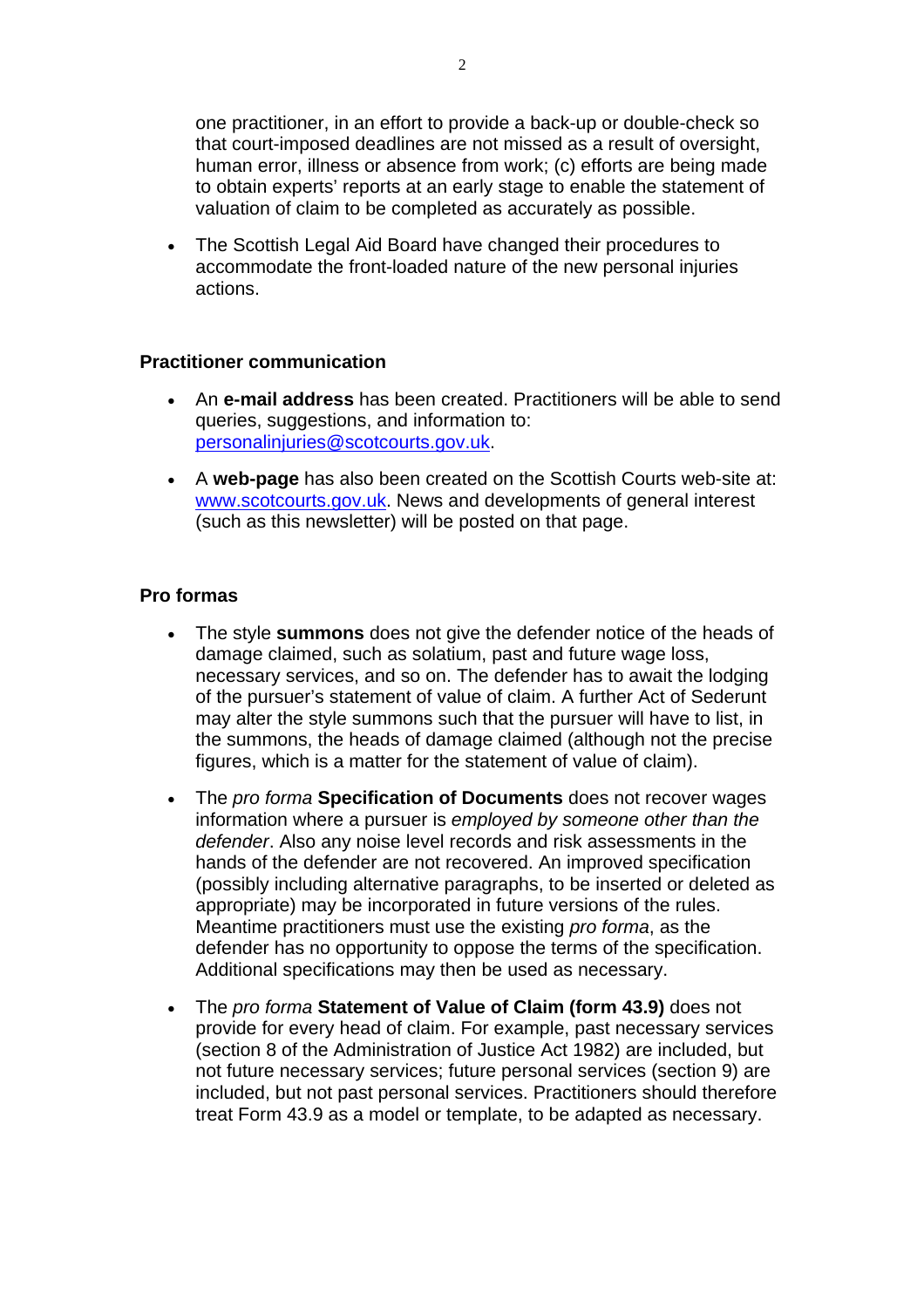one practitioner, in an effort to provide a back-up or double-check so that court-imposed deadlines are not missed as a result of oversight, human error, illness or absence from work; (c) efforts are being made to obtain experts' reports at an early stage to enable the statement of valuation of claim to be completed as accurately as possible.

• The Scottish Legal Aid Board have changed their procedures to accommodate the front-loaded nature of the new personal injuries actions.

#### **Practitioner communication**

- An **e-mail address** has been created. Practitioners will be able to send queries, suggestions, and information to: [personalinjuries@scotcourts.gov.uk](mailto:personalinjuries@scotcourts.gov.uk).
- A **web-page** has also been created on the Scottish Courts web-site at: [www.scotcourts.gov.uk.](http://www.scotcourts.gov.uk/) News and developments of general interest (such as this newsletter) will be posted on that page.

## **Pro formas**

- The style **summons** does not give the defender notice of the heads of damage claimed, such as solatium, past and future wage loss, necessary services, and so on. The defender has to await the lodging of the pursuer's statement of value of claim. A further Act of Sederunt may alter the style summons such that the pursuer will have to list, in the summons, the heads of damage claimed (although not the precise figures, which is a matter for the statement of value of claim).
- The *pro forma* **Specification of Documents** does not recover wages information where a pursuer is *employed by someone other than the defender*. Also any noise level records and risk assessments in the hands of the defender are not recovered. An improved specification (possibly including alternative paragraphs, to be inserted or deleted as appropriate) may be incorporated in future versions of the rules. Meantime practitioners must use the existing *pro forma*, as the defender has no opportunity to oppose the terms of the specification. Additional specifications may then be used as necessary.
- The *pro forma* **Statement of Value of Claim (form 43.9)** does not provide for every head of claim. For example, past necessary services (section 8 of the Administration of Justice Act 1982) are included, but not future necessary services; future personal services (section 9) are included, but not past personal services. Practitioners should therefore treat Form 43.9 as a model or template, to be adapted as necessary.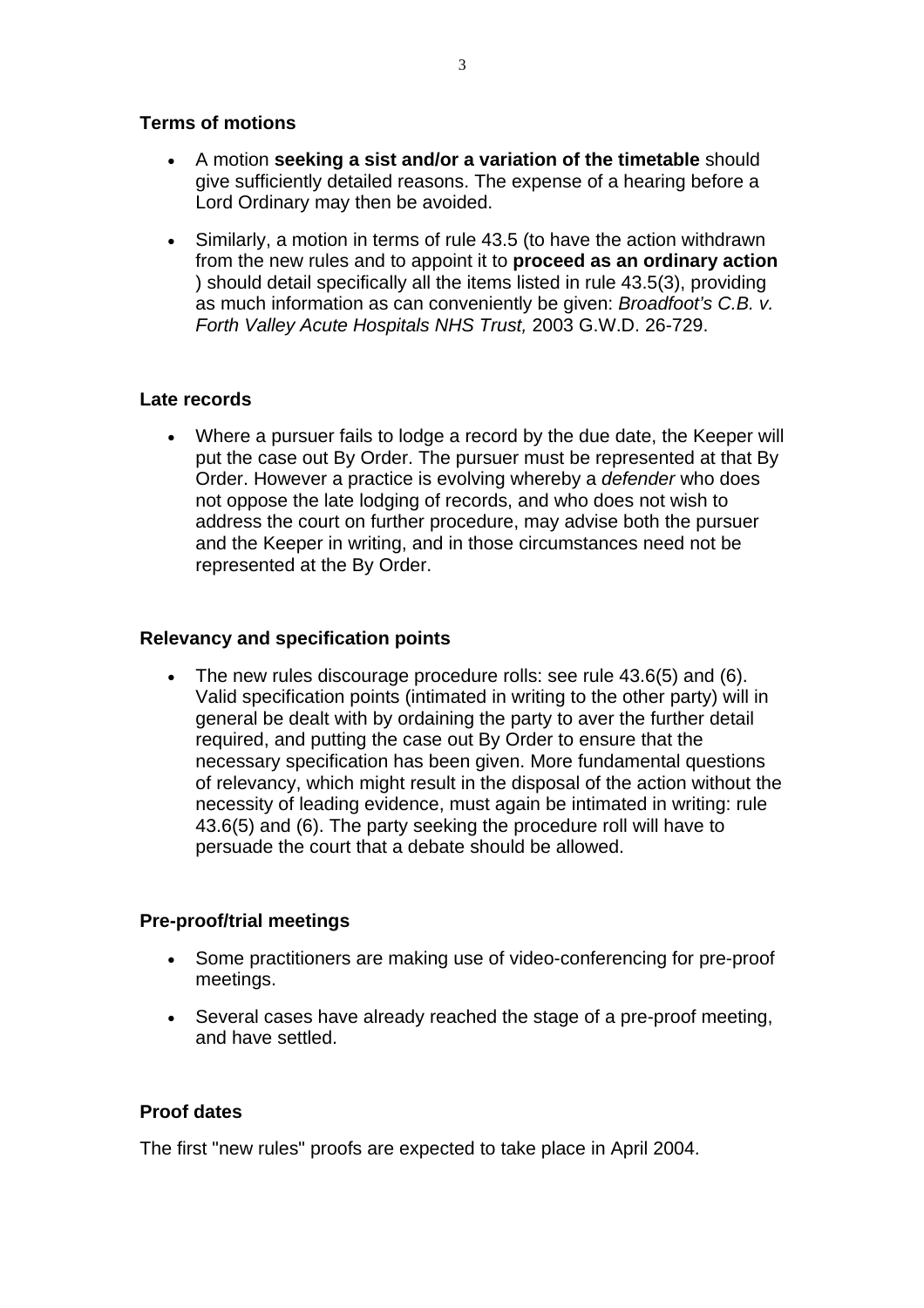## **Terms of motions**

- A motion **seeking a sist and/or a variation of the timetable** should give sufficiently detailed reasons. The expense of a hearing before a Lord Ordinary may then be avoided.
- Similarly, a motion in terms of rule 43.5 (to have the action withdrawn from the new rules and to appoint it to **proceed as an ordinary action**  ) should detail specifically all the items listed in rule 43.5(3), providing as much information as can conveniently be given: *Broadfoot's C.B. v. Forth Valley Acute Hospitals NHS Trust,* 2003 G.W.D. 26-729.

## **Late records**

• Where a pursuer fails to lodge a record by the due date, the Keeper will put the case out By Order. The pursuer must be represented at that By Order. However a practice is evolving whereby a *defender* who does not oppose the late lodging of records, and who does not wish to address the court on further procedure, may advise both the pursuer and the Keeper in writing, and in those circumstances need not be represented at the By Order.

# **Relevancy and specification points**

• The new rules discourage procedure rolls: see rule 43.6(5) and (6). Valid specification points (intimated in writing to the other party) will in general be dealt with by ordaining the party to aver the further detail required, and putting the case out By Order to ensure that the necessary specification has been given. More fundamental questions of relevancy, which might result in the disposal of the action without the necessity of leading evidence, must again be intimated in writing: rule 43.6(5) and (6). The party seeking the procedure roll will have to persuade the court that a debate should be allowed.

## **Pre-proof/trial meetings**

- Some practitioners are making use of video-conferencing for pre-proof meetings.
- Several cases have already reached the stage of a pre-proof meeting, and have settled.

## **Proof dates**

The first "new rules" proofs are expected to take place in April 2004.